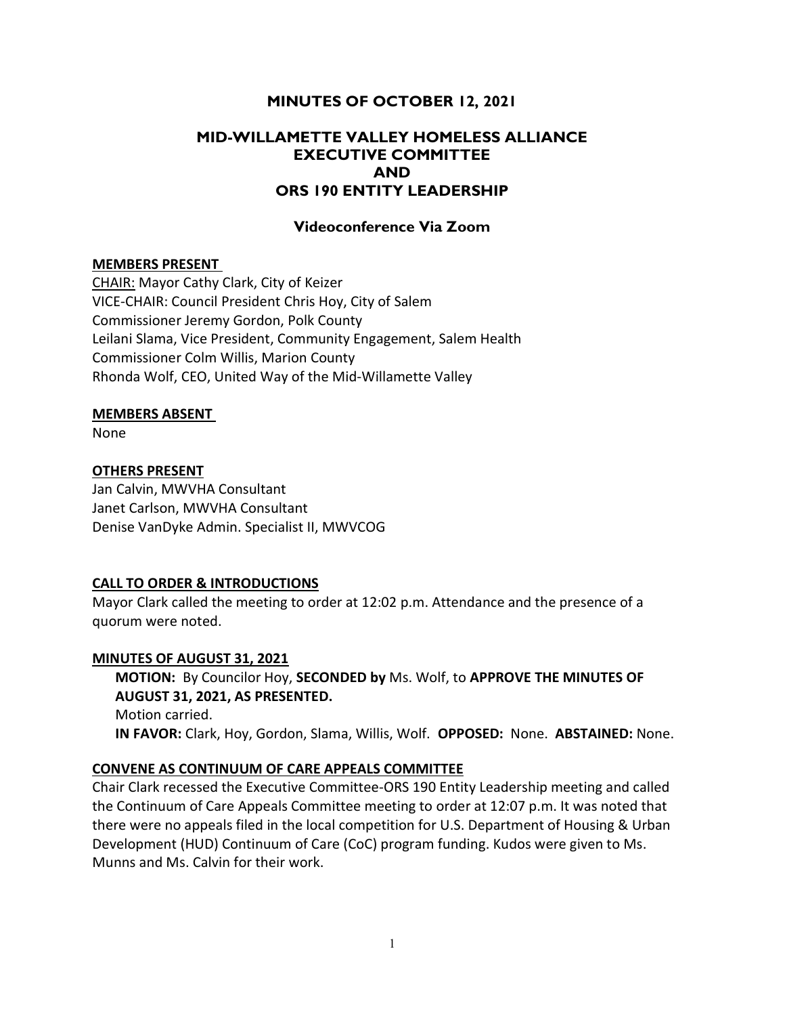# MINUTES OF OCTOBER 12, 2021

# MID-WILLAMETTE VALLEY HOMELESS ALLIANCE EXECUTIVE COMMITTEE AND ORS 190 ENTITY LEADERSHIP

# Videoconference Via Zoom

#### MEMBERS PRESENT

CHAIR: Mayor Cathy Clark, City of Keizer VICE-CHAIR: Council President Chris Hoy, City of Salem Commissioner Jeremy Gordon, Polk County Leilani Slama, Vice President, Community Engagement, Salem Health Commissioner Colm Willis, Marion County Rhonda Wolf, CEO, United Way of the Mid-Willamette Valley

#### MEMBERS ABSENT

None

### OTHERS PRESENT

Jan Calvin, MWVHA Consultant Janet Carlson, MWVHA Consultant Denise VanDyke Admin. Specialist II, MWVCOG

### CALL TO ORDER & INTRODUCTIONS

Mayor Clark called the meeting to order at 12:02 p.m. Attendance and the presence of a quorum were noted.

# MINUTES OF AUGUST 31, 2021

MOTION: By Councilor Hoy, SECONDED by Ms. Wolf, to APPROVE THE MINUTES OF AUGUST 31, 2021, AS PRESENTED. Motion carried. IN FAVOR: Clark, Hoy, Gordon, Slama, Willis, Wolf. OPPOSED: None. ABSTAINED: None.

### CONVENE AS CONTINUUM OF CARE APPEALS COMMITTEE

Chair Clark recessed the Executive Committee-ORS 190 Entity Leadership meeting and called the Continuum of Care Appeals Committee meeting to order at 12:07 p.m. It was noted that there were no appeals filed in the local competition for U.S. Department of Housing & Urban Development (HUD) Continuum of Care (CoC) program funding. Kudos were given to Ms. Munns and Ms. Calvin for their work.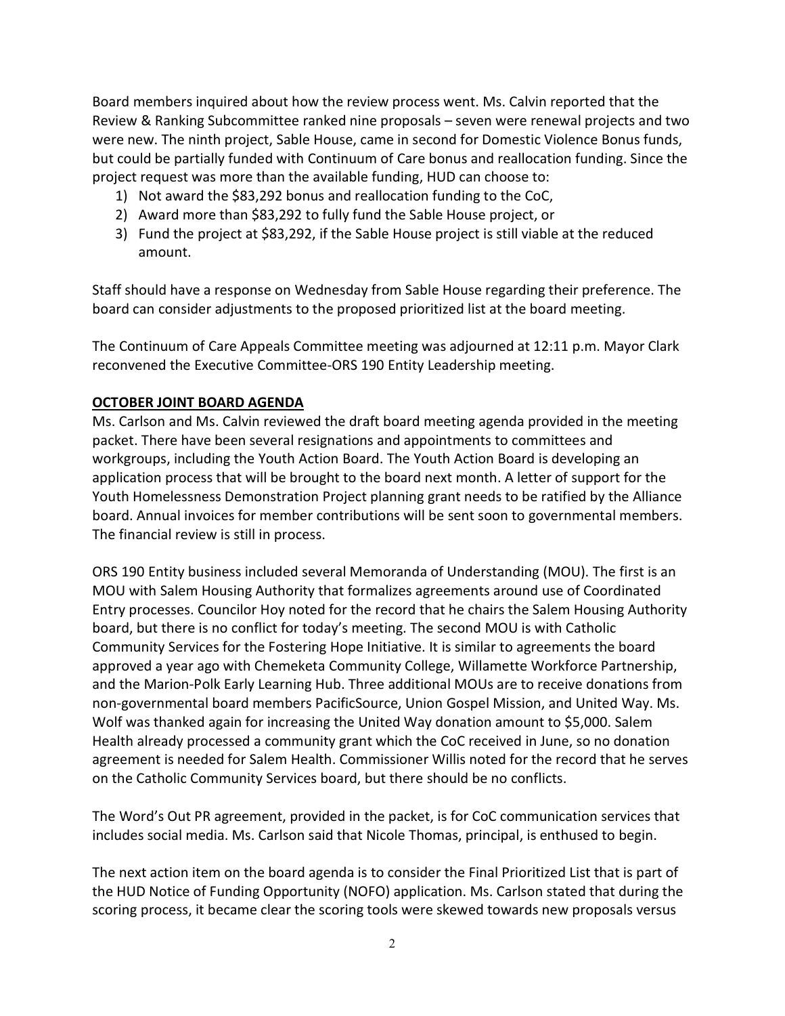Board members inquired about how the review process went. Ms. Calvin reported that the Review & Ranking Subcommittee ranked nine proposals – seven were renewal projects and two were new. The ninth project, Sable House, came in second for Domestic Violence Bonus funds, but could be partially funded with Continuum of Care bonus and reallocation funding. Since the project request was more than the available funding, HUD can choose to:

- 1) Not award the \$83,292 bonus and reallocation funding to the CoC,
- 2) Award more than \$83,292 to fully fund the Sable House project, or
- 3) Fund the project at \$83,292, if the Sable House project is still viable at the reduced amount.

Staff should have a response on Wednesday from Sable House regarding their preference. The board can consider adjustments to the proposed prioritized list at the board meeting.

The Continuum of Care Appeals Committee meeting was adjourned at 12:11 p.m. Mayor Clark reconvened the Executive Committee-ORS 190 Entity Leadership meeting.

### OCTOBER JOINT BOARD AGENDA

Ms. Carlson and Ms. Calvin reviewed the draft board meeting agenda provided in the meeting packet. There have been several resignations and appointments to committees and workgroups, including the Youth Action Board. The Youth Action Board is developing an application process that will be brought to the board next month. A letter of support for the Youth Homelessness Demonstration Project planning grant needs to be ratified by the Alliance board. Annual invoices for member contributions will be sent soon to governmental members. The financial review is still in process.

ORS 190 Entity business included several Memoranda of Understanding (MOU). The first is an MOU with Salem Housing Authority that formalizes agreements around use of Coordinated Entry processes. Councilor Hoy noted for the record that he chairs the Salem Housing Authority board, but there is no conflict for today's meeting. The second MOU is with Catholic Community Services for the Fostering Hope Initiative. It is similar to agreements the board approved a year ago with Chemeketa Community College, Willamette Workforce Partnership, and the Marion-Polk Early Learning Hub. Three additional MOUs are to receive donations from non-governmental board members PacificSource, Union Gospel Mission, and United Way. Ms. Wolf was thanked again for increasing the United Way donation amount to \$5,000. Salem Health already processed a community grant which the CoC received in June, so no donation agreement is needed for Salem Health. Commissioner Willis noted for the record that he serves on the Catholic Community Services board, but there should be no conflicts.

The Word's Out PR agreement, provided in the packet, is for CoC communication services that includes social media. Ms. Carlson said that Nicole Thomas, principal, is enthused to begin.

The next action item on the board agenda is to consider the Final Prioritized List that is part of the HUD Notice of Funding Opportunity (NOFO) application. Ms. Carlson stated that during the scoring process, it became clear the scoring tools were skewed towards new proposals versus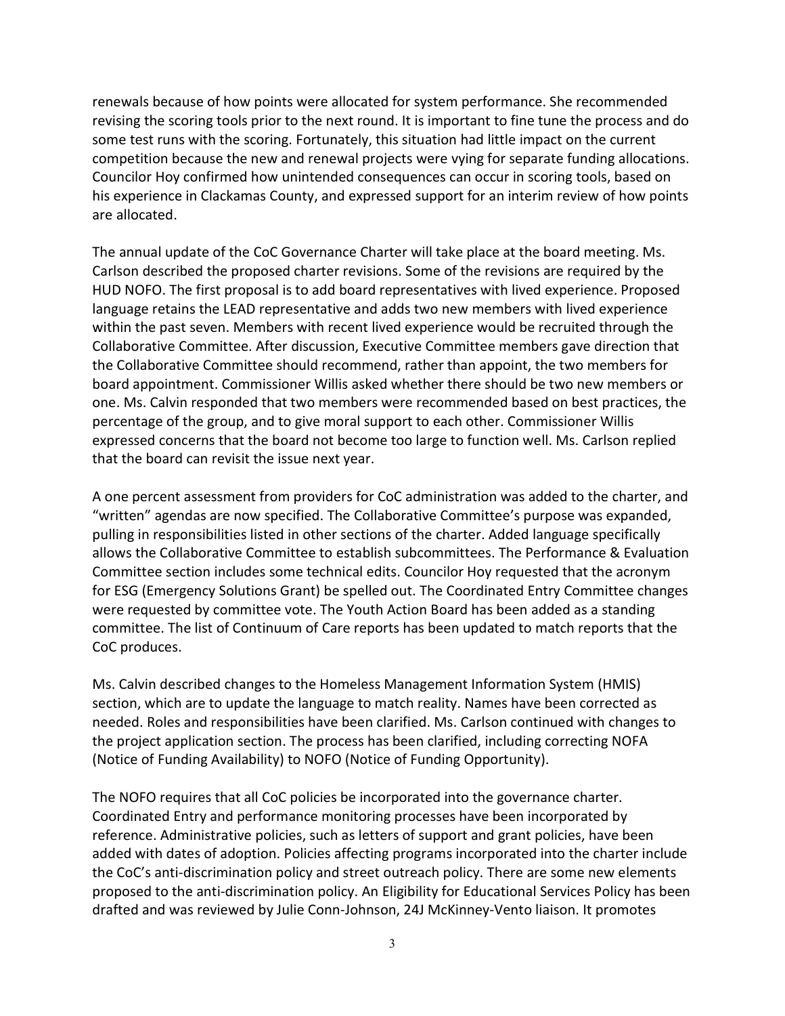renewals because of how points were allocated for system performance. She recommended revising the scoring tools prior to the next round. It is important to fine tune the process and do some test runs with the scoring. Fortunately, this situation had little impact on the current competition because the new and renewal projects were vying for separate funding allocations. Councilor Hoy confirmed how unintended consequences can occur in scoring tools, based on his experience in Clackamas County, and expressed support for an interim review of how points are allocated.

The annual update of the CoC Governance Charter will take place at the board meeting. Ms. Carlson described the proposed charter revisions. Some of the revisions are required by the HUD NOFO. The first proposal is to add board representatives with lived experience. Proposed language retains the LEAD representative and adds two new members with lived experience within the past seven. Members with recent lived experience would be recruited through the Collaborative Committee. After discussion, Executive Committee members gave direction that the Collaborative Committee should recommend, rather than appoint, the two members for board appointment. Commissioner Willis asked whether there should be two new members or one. Ms. Calvin responded that two members were recommended based on best practices, the percentage of the group, and to give moral support to each other. Commissioner Willis expressed concerns that the board not become too large to function well. Ms. Carlson replied that the board can revisit the issue next year.

A one percent assessment from providers for CoC administration was added to the charter, and "written" agendas are now specified. The Collaborative Committee's purpose was expanded, pulling in responsibilities listed in other sections of the charter. Added language specifically allows the Collaborative Committee to establish subcommittees. The Performance & Evaluation Committee section includes some technical edits. Councilor Hoy requested that the acronym for ESG (Emergency Solutions Grant) be spelled out. The Coordinated Entry Committee changes were requested by committee vote. The Youth Action Board has been added as a standing committee. The list of Continuum of Care reports has been updated to match reports that the CoC produces.

Ms. Calvin described changes to the Homeless Management Information System (HMIS) section, which are to update the language to match reality. Names have been corrected as needed. Roles and responsibilities have been clarified. Ms. Carlson continued with changes to the project application section. The process has been clarified, including correcting NOFA (Notice of Funding Availability) to NOFO (Notice of Funding Opportunity).

The NOFO requires that all CoC policies be incorporated into the governance charter. Coordinated Entry and performance monitoring processes have been incorporated by reference. Administrative policies, such as letters of support and grant policies, have been added with dates of adoption. Policies affecting programs incorporated into the charter include the CoC's anti-discrimination policy and street outreach policy. There are some new elements proposed to the anti-discrimination policy. An Eligibility for Educational Services Policy has been drafted and was reviewed by Julie Conn-Johnson, 24J McKinney-Vento liaison. It promotes